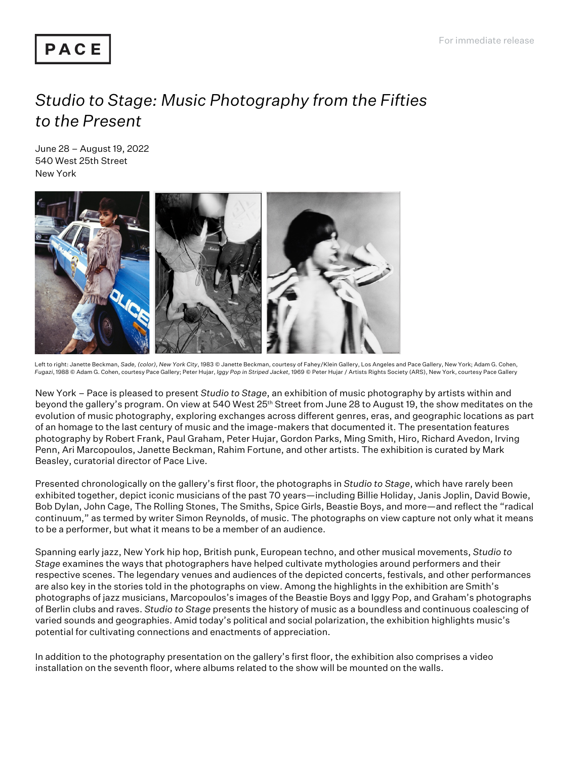## PACE

## *Studio to Stage: Music Photography from the Fifties to the Present*

June 28 – August 19, 2022 540 West 25th Street New York



Left to right: Janette Beckman, *Sade, (color), New York City*, 1983 © Janette Beckman, courtesy of Fahey/Klein Gallery, Los Angeles and Pace Gallery, New York; Adam G. Cohen, *Fugazi*, 1988 © Adam G. Cohen, courtesy Pace Gallery; Peter Hujar, *Iggy Pop in Striped Jacket,* 1969 © Peter Hujar / Artists Rights Society (ARS), New York, courtesy Pace Gallery

New York – Pace is pleased to present *Studio to Stage*, an exhibition of music photography by artists within and beyond the gallery's program. On view at 540 West 25th Street from June 28 to August 19, the show meditates on the evolution of music photography, exploring exchanges across different genres, eras, and geographic locations as part of an homage to the last century of music and the image-makers that documented it. The presentation features photography by Robert Frank, Paul Graham, Peter Hujar, Gordon Parks, Ming Smith, Hiro, Richard Avedon, Irving Penn, Ari Marcopoulos, Janette Beckman, Rahim Fortune, and other artists. The exhibition is curated by Mark Beasley, curatorial director of Pace Live.

Presented chronologically on the gallery's first floor, the photographs in *Studio to Stage*, which have rarely been exhibited together, depict iconic musicians of the past 70 years—including Billie Holiday, Janis Joplin, David Bowie, Bob Dylan, John Cage, The Rolling Stones, The Smiths, Spice Girls, Beastie Boys, and more—and reflect the "radical continuum," as termed by writer Simon Reynolds, of music. The photographs on view capture not only what it means to be a performer, but what it means to be a member of an audience.

Spanning early jazz, New York hip hop, British punk, European techno, and other musical movements, *Studio to Stage* examines the ways that photographers have helped cultivate mythologies around performers and their respective scenes. The legendary venues and audiences of the depicted concerts, festivals, and other performances are also key in the stories told in the photographs on view. Among the highlights in the exhibition are Smith's photographs of jazz musicians, Marcopoulos's images of the Beastie Boys and Iggy Pop, and Graham's photographs of Berlin clubs and raves. *Studio to Stage* presents the history of music as a boundless and continuous coalescing of varied sounds and geographies. Amid today's political and social polarization, the exhibition highlights music's potential for cultivating connections and enactments of appreciation.

In addition to the photography presentation on the gallery's first floor, the exhibition also comprises a video installation on the seventh floor, where albums related to the show will be mounted on the walls.